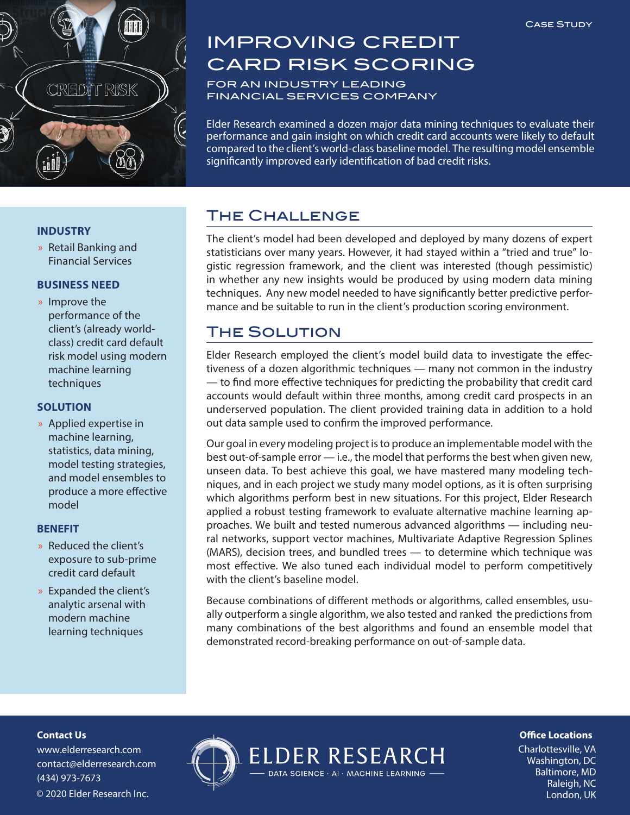

# IMPROVING CREDIT CARD RISK SCORING

FOR AN INDUSTRY LEADING FINANCIAL SERVICES COMPANY

Elder Research examined a dozen major data mining techniques to evaluate their performance and gain insight on which credit card accounts were likely to default compared to the client's world-class baseline model. The resulting model ensemble significantly improved early identification of bad credit risks.

## The Challenge

The client's model had been developed and deployed by many dozens of expert statisticians over many years. However, it had stayed within a "tried and true" logistic regression framework, and the client was interested (though pessimistic) in whether any new insights would be produced by using modern data mining techniques. Any new model needed to have significantly better predictive performance and be suitable to run in the client's production scoring environment.

# The Solution

Elder Research employed the client's model build data to investigate the effectiveness of a dozen algorithmic techniques — many not common in the industry — to find more effective techniques for predicting the probability that credit card accounts would default within three months, among credit card prospects in an underserved population. The client provided training data in addition to a hold out data sample used to confirm the improved performance.

Our goal in every modeling project is to produce an implementable model with the best out-of-sample error — i.e., the model that performs the best when given new, unseen data. To best achieve this goal, we have mastered many modeling techniques, and in each project we study many model options, as it is often surprising which algorithms perform best in new situations. For this project, Elder Research applied a robust testing framework to evaluate alternative machine learning approaches. We built and tested numerous advanced algorithms — including neural networks, support vector machines, Multivariate Adaptive Regression Splines (MARS), decision trees, and bundled trees — to determine which technique was most effective. We also tuned each individual model to perform competitively with the client's baseline model.

Because combinations of different methods or algorithms, called ensembles, usually outperform a single algorithm, we also tested and ranked the predictions from many combinations of the best algorithms and found an ensemble model that demonstrated record-breaking performance on out-of-sample data.

DATA SCIENCE · AI · MACHINE LEARNING -

#### **INDUSTRY**

» Retail Banking and Financial Services

#### **BUSINESS NEED**

» Improve the performance of the client's (already worldclass) credit card default risk model using modern machine learning techniques

#### **SOLUTION**

» Applied expertise in machine learning, statistics, data mining, model testing strategies, and model ensembles to produce a more effective model

#### **BENEFIT**

- » Reduced the client's exposure to sub-prime credit card default
- » Expanded the client's analytic arsenal with modern machine learning techniques

#### **Contact Us**

www.elderresearch.com contact@elderresearch.com (434) 973-7673 © 2020 Elder Research Inc. London, UK



**Office Locations** 

Charlottesville, VA Washington, DC Baltimore, MD Raleigh, NC